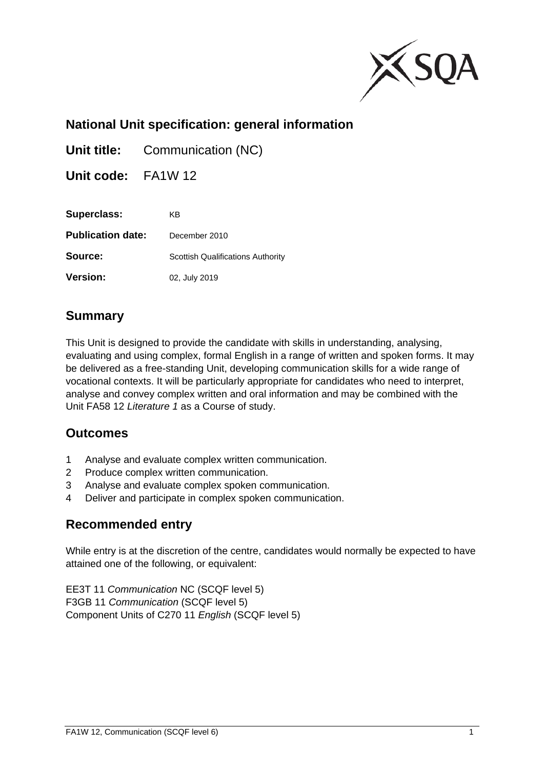

# **National Unit specification: general information**

**Unit title:** Communication (NC)

**Unit code:** FA1W 12

| Superclass:              | KB                                       |
|--------------------------|------------------------------------------|
| <b>Publication date:</b> | December 2010                            |
| Source:                  | <b>Scottish Qualifications Authority</b> |
| <b>Version:</b>          | 02, July 2019                            |

# **Summary**

This Unit is designed to provide the candidate with skills in understanding, analysing, evaluating and using complex, formal English in a range of written and spoken forms. It may be delivered as a free-standing Unit, developing communication skills for a wide range of vocational contexts. It will be particularly appropriate for candidates who need to interpret, analyse and convey complex written and oral information and may be combined with the Unit FA58 12 *Literature 1* as a Course of study.

## **Outcomes**

- 1 Analyse and evaluate complex written communication.
- 2 Produce complex written communication.
- 3 Analyse and evaluate complex spoken communication.
- 4 Deliver and participate in complex spoken communication.

## **Recommended entry**

While entry is at the discretion of the centre, candidates would normally be expected to have attained one of the following, or equivalent:

EE3T 11 *Communication* NC (SCQF level 5) F3GB 11 *Communication* (SCQF level 5) Component Units of C270 11 *English* (SCQF level 5)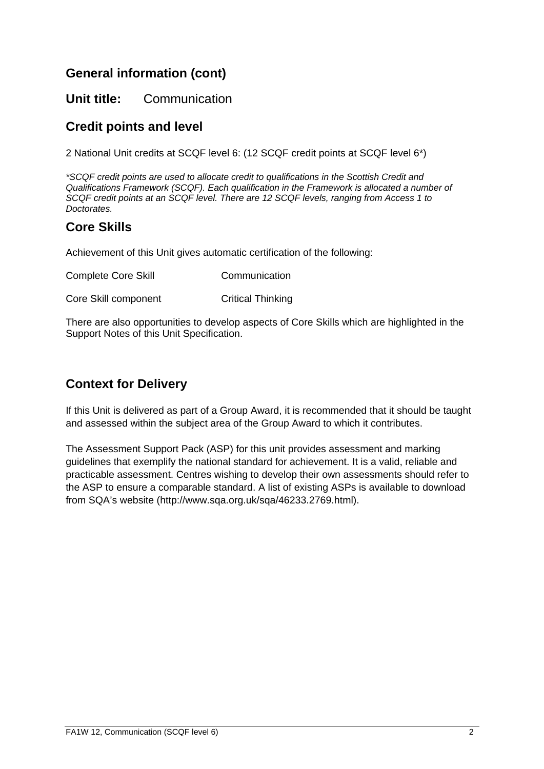# **General information (cont)**

## **Unit title:** Communication

# **Credit points and level**

2 National Unit credits at SCQF level 6: (12 SCQF credit points at SCQF level 6\*)

*\*SCQF credit points are used to allocate credit to qualifications in the Scottish Credit and Qualifications Framework (SCQF). Each qualification in the Framework is allocated a number of SCQF credit points at an SCQF level. There are 12 SCQF levels, ranging from Access 1 to Doctorates.* 

## **Core Skills**

Achievement of this Unit gives automatic certification of the following:

| <b>Complete Core Skill</b> | Communication            |
|----------------------------|--------------------------|
| Core Skill component       | <b>Critical Thinking</b> |

There are also opportunities to develop aspects of Core Skills which are highlighted in the Support Notes of this Unit Specification.

# **Context for Delivery**

If this Unit is delivered as part of a Group Award, it is recommended that it should be taught and assessed within the subject area of the Group Award to which it contributes.

The Assessment Support Pack (ASP) for this unit provides assessment and marking guidelines that exemplify the national standard for achievement. It is a valid, reliable and practicable assessment. Centres wishing to develop their own assessments should refer to the ASP to ensure a comparable standard. A list of existing ASPs is available to download from SQA's website (http://www.sqa.org.uk/sqa/46233.2769.html).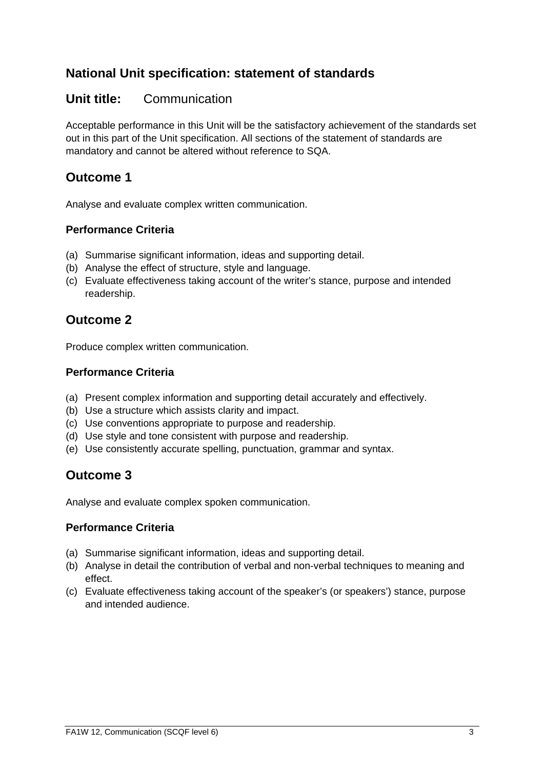# **National Unit specification: statement of standards**

## **Unit title:** Communication

Acceptable performance in this Unit will be the satisfactory achievement of the standards set out in this part of the Unit specification. All sections of the statement of standards are mandatory and cannot be altered without reference to SQA.

# **Outcome 1**

Analyse and evaluate complex written communication.

### **Performance Criteria**

- (a) Summarise significant information, ideas and supporting detail.
- (b) Analyse the effect of structure, style and language.
- (c) Evaluate effectiveness taking account of the writer's stance, purpose and intended readership.

## **Outcome 2**

Produce complex written communication.

### **Performance Criteria**

- (a) Present complex information and supporting detail accurately and effectively.
- (b) Use a structure which assists clarity and impact.
- (c) Use conventions appropriate to purpose and readership.
- (d) Use style and tone consistent with purpose and readership.
- (e) Use consistently accurate spelling, punctuation, grammar and syntax.

## **Outcome 3**

Analyse and evaluate complex spoken communication.

### **Performance Criteria**

- (a) Summarise significant information, ideas and supporting detail.
- (b) Analyse in detail the contribution of verbal and non-verbal techniques to meaning and effect.
- (c) Evaluate effectiveness taking account of the speaker's (or speakers') stance, purpose and intended audience.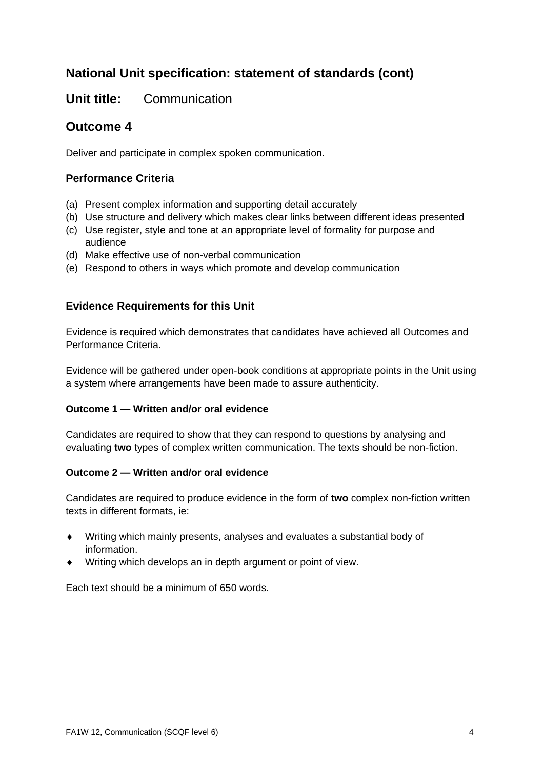# **National Unit specification: statement of standards (cont)**

## **Unit title:** Communication

## **Outcome 4**

Deliver and participate in complex spoken communication.

### **Performance Criteria**

- (a) Present complex information and supporting detail accurately
- (b) Use structure and delivery which makes clear links between different ideas presented
- (c) Use register, style and tone at an appropriate level of formality for purpose and audience
- (d) Make effective use of non-verbal communication
- (e) Respond to others in ways which promote and develop communication

### **Evidence Requirements for this Unit**

Evidence is required which demonstrates that candidates have achieved all Outcomes and Performance Criteria.

Evidence will be gathered under open-book conditions at appropriate points in the Unit using a system where arrangements have been made to assure authenticity.

#### **Outcome 1 — Written and/or oral evidence**

Candidates are required to show that they can respond to questions by analysing and evaluating **two** types of complex written communication. The texts should be non-fiction.

#### **Outcome 2 — Written and/or oral evidence**

Candidates are required to produce evidence in the form of **two** complex non-fiction written texts in different formats, ie:

- Writing which mainly presents, analyses and evaluates a substantial body of information.
- Writing which develops an in depth argument or point of view.

Each text should be a minimum of 650 words.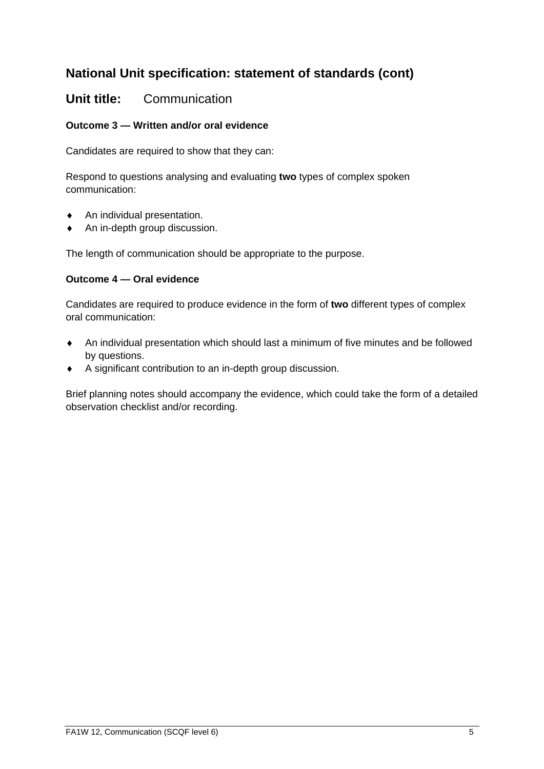# **National Unit specification: statement of standards (cont)**

## **Unit title:** Communication

### **Outcome 3 — Written and/or oral evidence**

Candidates are required to show that they can:

Respond to questions analysing and evaluating **two** types of complex spoken communication:

- An individual presentation.
- An in-depth group discussion.

The length of communication should be appropriate to the purpose.

#### **Outcome 4 — Oral evidence**

Candidates are required to produce evidence in the form of **two** different types of complex oral communication:

- An individual presentation which should last a minimum of five minutes and be followed by questions.
- A significant contribution to an in-depth group discussion.

Brief planning notes should accompany the evidence, which could take the form of a detailed observation checklist and/or recording.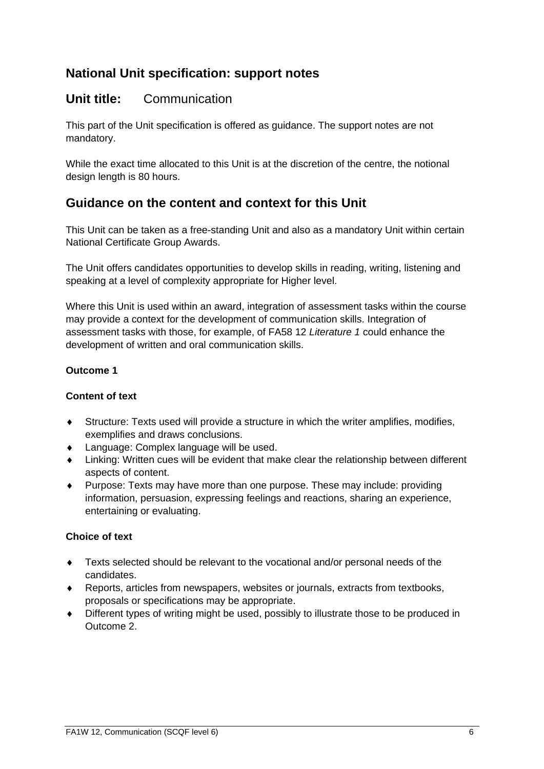## **Unit title:** Communication

This part of the Unit specification is offered as guidance. The support notes are not mandatory.

While the exact time allocated to this Unit is at the discretion of the centre, the notional design length is 80 hours.

## **Guidance on the content and context for this Unit**

This Unit can be taken as a free-standing Unit and also as a mandatory Unit within certain National Certificate Group Awards.

The Unit offers candidates opportunities to develop skills in reading, writing, listening and speaking at a level of complexity appropriate for Higher level.

Where this Unit is used within an award, integration of assessment tasks within the course may provide a context for the development of communication skills. Integration of assessment tasks with those, for example, of FA58 12 *Literature 1* could enhance the development of written and oral communication skills.

#### **Outcome 1**

#### **Content of text**

- Structure: Texts used will provide a structure in which the writer amplifies, modifies, exemplifies and draws conclusions.
- Language: Complex language will be used.
- Linking: Written cues will be evident that make clear the relationship between different aspects of content.
- Purpose: Texts may have more than one purpose. These may include: providing information, persuasion, expressing feelings and reactions, sharing an experience, entertaining or evaluating.

#### **Choice of text**

- Texts selected should be relevant to the vocational and/or personal needs of the candidates.
- Reports, articles from newspapers, websites or journals, extracts from textbooks, proposals or specifications may be appropriate.
- Different types of writing might be used, possibly to illustrate those to be produced in Outcome 2.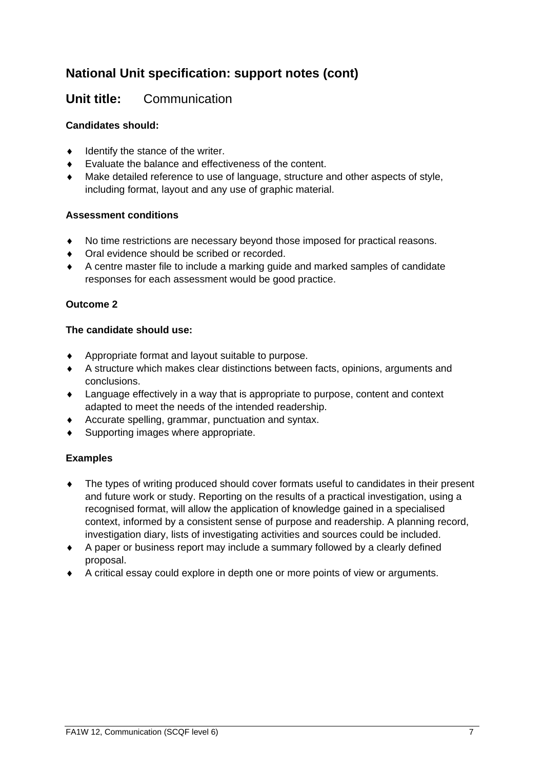## **Unit title:** Communication

#### **Candidates should:**

- $\bullet$  Identify the stance of the writer.
- Evaluate the balance and effectiveness of the content.
- Make detailed reference to use of language, structure and other aspects of style, including format, layout and any use of graphic material.

#### **Assessment conditions**

- No time restrictions are necessary beyond those imposed for practical reasons.
- ◆ Oral evidence should be scribed or recorded.
- A centre master file to include a marking guide and marked samples of candidate responses for each assessment would be good practice.

### **Outcome 2**

#### **The candidate should use:**

- Appropriate format and layout suitable to purpose.
- A structure which makes clear distinctions between facts, opinions, arguments and conclusions.
- Language effectively in a way that is appropriate to purpose, content and context adapted to meet the needs of the intended readership.
- Accurate spelling, grammar, punctuation and syntax.
- ◆ Supporting images where appropriate.

#### **Examples**

- The types of writing produced should cover formats useful to candidates in their present and future work or study. Reporting on the results of a practical investigation, using a recognised format, will allow the application of knowledge gained in a specialised context, informed by a consistent sense of purpose and readership. A planning record, investigation diary, lists of investigating activities and sources could be included.
- A paper or business report may include a summary followed by a clearly defined proposal.
- A critical essay could explore in depth one or more points of view or arguments.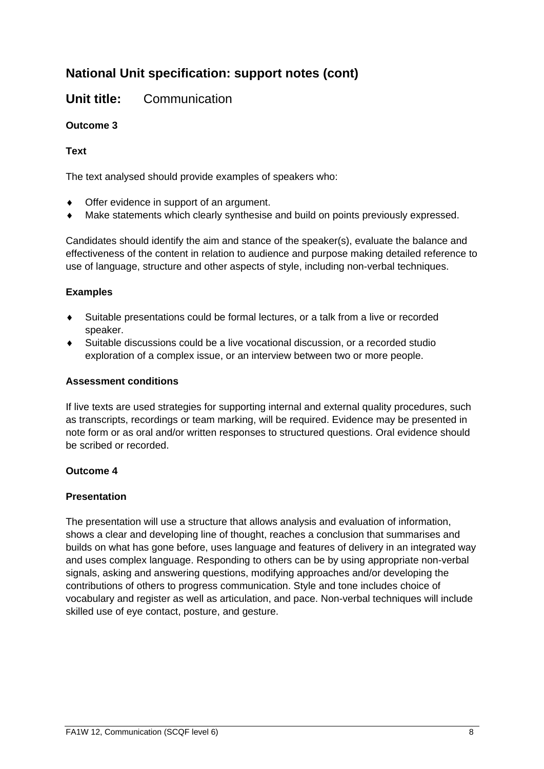## **Unit title:** Communication

### **Outcome 3**

### **Text**

The text analysed should provide examples of speakers who:

- ◆ Offer evidence in support of an argument.
- Make statements which clearly synthesise and build on points previously expressed.

Candidates should identify the aim and stance of the speaker(s), evaluate the balance and effectiveness of the content in relation to audience and purpose making detailed reference to use of language, structure and other aspects of style, including non-verbal techniques.

### **Examples**

- Suitable presentations could be formal lectures, or a talk from a live or recorded speaker.
- Suitable discussions could be a live vocational discussion, or a recorded studio exploration of a complex issue, or an interview between two or more people.

#### **Assessment conditions**

If live texts are used strategies for supporting internal and external quality procedures, such as transcripts, recordings or team marking, will be required. Evidence may be presented in note form or as oral and/or written responses to structured questions. Oral evidence should be scribed or recorded.

#### **Outcome 4**

#### **Presentation**

The presentation will use a structure that allows analysis and evaluation of information, shows a clear and developing line of thought, reaches a conclusion that summarises and builds on what has gone before, uses language and features of delivery in an integrated way and uses complex language. Responding to others can be by using appropriate non-verbal signals, asking and answering questions, modifying approaches and/or developing the contributions of others to progress communication. Style and tone includes choice of vocabulary and register as well as articulation, and pace. Non-verbal techniques will include skilled use of eye contact, posture, and gesture.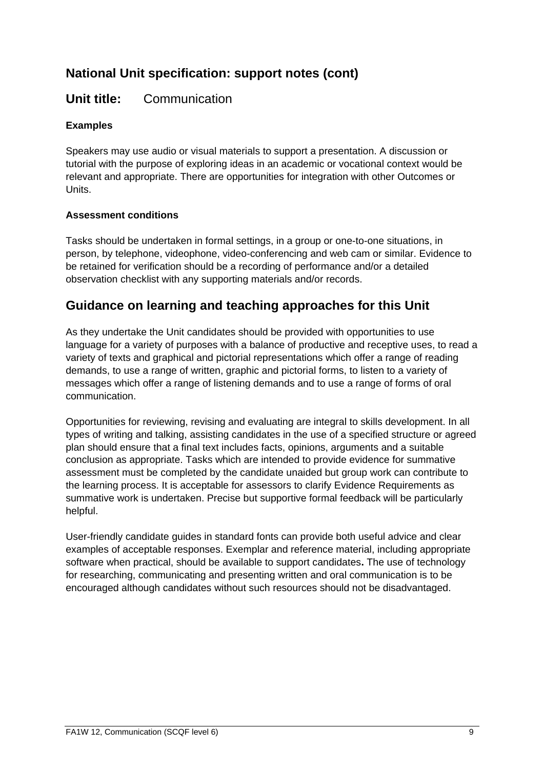## **Unit title:** Communication

### **Examples**

Speakers may use audio or visual materials to support a presentation. A discussion or tutorial with the purpose of exploring ideas in an academic or vocational context would be relevant and appropriate. There are opportunities for integration with other Outcomes or Units.

#### **Assessment conditions**

Tasks should be undertaken in formal settings, in a group or one-to-one situations, in person, by telephone, videophone, video-conferencing and web cam or similar. Evidence to be retained for verification should be a recording of performance and/or a detailed observation checklist with any supporting materials and/or records.

## **Guidance on learning and teaching approaches for this Unit**

As they undertake the Unit candidates should be provided with opportunities to use language for a variety of purposes with a balance of productive and receptive uses, to read a variety of texts and graphical and pictorial representations which offer a range of reading demands, to use a range of written, graphic and pictorial forms, to listen to a variety of messages which offer a range of listening demands and to use a range of forms of oral communication.

Opportunities for reviewing, revising and evaluating are integral to skills development. In all types of writing and talking, assisting candidates in the use of a specified structure or agreed plan should ensure that a final text includes facts, opinions, arguments and a suitable conclusion as appropriate. Tasks which are intended to provide evidence for summative assessment must be completed by the candidate unaided but group work can contribute to the learning process. It is acceptable for assessors to clarify Evidence Requirements as summative work is undertaken. Precise but supportive formal feedback will be particularly helpful.

User-friendly candidate guides in standard fonts can provide both useful advice and clear examples of acceptable responses. Exemplar and reference material, including appropriate software when practical, should be available to support candidates**.** The use of technology for researching, communicating and presenting written and oral communication is to be encouraged although candidates without such resources should not be disadvantaged.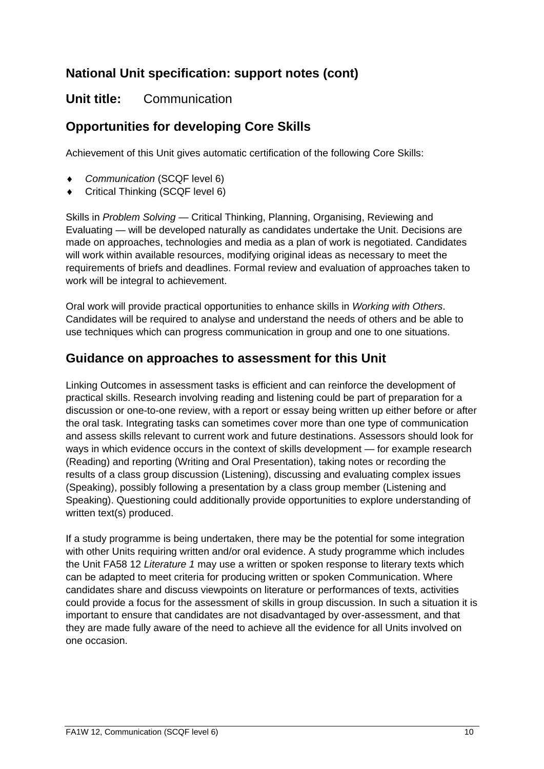## **Unit title:** Communication

# **Opportunities for developing Core Skills**

Achievement of this Unit gives automatic certification of the following Core Skills:

- *Communication* (SCQF level 6)
- Critical Thinking (SCQF level 6)

Skills in *Problem Solving* — Critical Thinking, Planning, Organising, Reviewing and Evaluating — will be developed naturally as candidates undertake the Unit. Decisions are made on approaches, technologies and media as a plan of work is negotiated. Candidates will work within available resources, modifying original ideas as necessary to meet the requirements of briefs and deadlines. Formal review and evaluation of approaches taken to work will be integral to achievement.

Oral work will provide practical opportunities to enhance skills in *Working with Others*. Candidates will be required to analyse and understand the needs of others and be able to use techniques which can progress communication in group and one to one situations.

## **Guidance on approaches to assessment for this Unit**

Linking Outcomes in assessment tasks is efficient and can reinforce the development of practical skills. Research involving reading and listening could be part of preparation for a discussion or one-to-one review, with a report or essay being written up either before or after the oral task. Integrating tasks can sometimes cover more than one type of communication and assess skills relevant to current work and future destinations. Assessors should look for ways in which evidence occurs in the context of skills development — for example research (Reading) and reporting (Writing and Oral Presentation), taking notes or recording the results of a class group discussion (Listening), discussing and evaluating complex issues (Speaking), possibly following a presentation by a class group member (Listening and Speaking). Questioning could additionally provide opportunities to explore understanding of written text(s) produced.

If a study programme is being undertaken, there may be the potential for some integration with other Units requiring written and/or oral evidence. A study programme which includes the Unit FA58 12 *Literature 1* may use a written or spoken response to literary texts which can be adapted to meet criteria for producing written or spoken Communication. Where candidates share and discuss viewpoints on literature or performances of texts, activities could provide a focus for the assessment of skills in group discussion. In such a situation it is important to ensure that candidates are not disadvantaged by over-assessment, and that they are made fully aware of the need to achieve all the evidence for all Units involved on one occasion.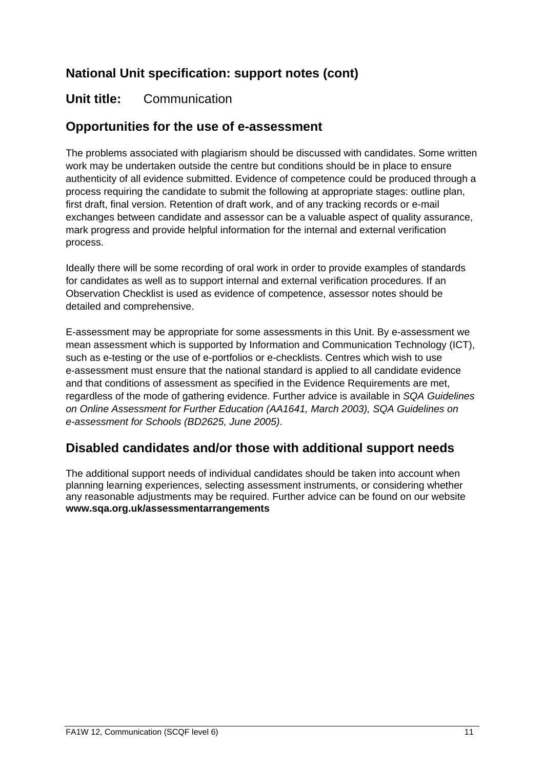## **Unit title:** Communication

## **Opportunities for the use of e-assessment**

The problems associated with plagiarism should be discussed with candidates. Some written work may be undertaken outside the centre but conditions should be in place to ensure authenticity of all evidence submitted. Evidence of competence could be produced through a process requiring the candidate to submit the following at appropriate stages: outline plan, first draft, final version. Retention of draft work, and of any tracking records or e-mail exchanges between candidate and assessor can be a valuable aspect of quality assurance, mark progress and provide helpful information for the internal and external verification process.

Ideally there will be some recording of oral work in order to provide examples of standards for candidates as well as to support internal and external verification procedures. If an Observation Checklist is used as evidence of competence, assessor notes should be detailed and comprehensive.

E-assessment may be appropriate for some assessments in this Unit. By e-assessment we mean assessment which is supported by Information and Communication Technology (ICT), such as e-testing or the use of e-portfolios or e-checklists. Centres which wish to use e-assessment must ensure that the national standard is applied to all candidate evidence and that conditions of assessment as specified in the Evidence Requirements are met, regardless of the mode of gathering evidence. Further advice is available in *SQA Guidelines on Online Assessment for Further Education (AA1641, March 2003), SQA Guidelines on e-assessment for Schools (BD2625, June 2005)*.

## **Disabled candidates and/or those with additional support needs**

The additional support needs of individual candidates should be taken into account when planning learning experiences, selecting assessment instruments, or considering whether any reasonable adjustments may be required. Further advice can be found on our website **www.sqa.org.uk/assessmentarrangements**